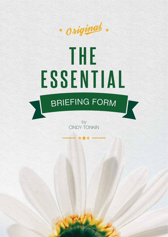

## **ESSENTIAL THE**

## **BRIEFING FORM**

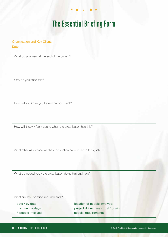## **The Essential Briefing Form**

**2**

Organisation and Key Client:

Date:

What do you want at the end of the project?

Why do you need this?

How will you know you have what you want?

How will it look / feel / sound when the organisation has this?

What other assistance will the organisation have to reach this goal?

What's stopped you / the organisation doing this until now?

What are the Logistical requirements?

date / by date: maximum # days: # people involved: location of people involved: project driver: time / cost / quality special requirements: